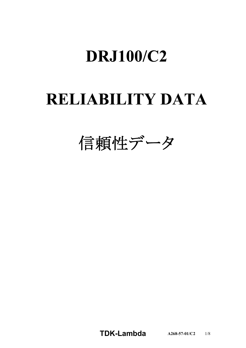# **DRJ100/C2**

# **RELIABILITY DATA**

信頼性データ

**TDKLambda A2685701/C2** 1/8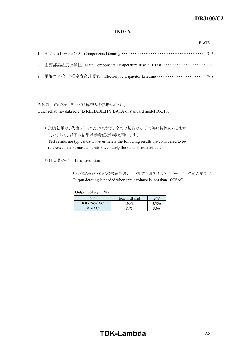# *RWS 50B600B Series* **DRJ100/C2**

### **INDEX**

|  | 2. 主要部品温度上昇値 Main Components Temperature Rise △T List ·························· 6 |  |
|--|------------------------------------------------------------------------------------|--|
|  | 3. 電解コンデンサ推定寿命計算値 Electrolytic Capacitor Lifetime ………………………… 7~8                   |  |

※他項目の信頼性データは標準品を参照ください。

Other reliability data refer to RELIABILITY DATA of standard model DRJ100.

\* 試験結果は、代表データでありますが、全ての製品はほぼ同等な特性を示します。 従いまして、以下の結果は参考値とお考え願います。

Test results are typical data. Nevertheless the following results are considered to be reference data because all units have nearly the same characteristics.

評価負荷条件 Load conditions

\*入力電圧が100VAC未満の場合、下記のとおり出力ディレーティングが必要です。 Output derating is needed when input voltage is less than 100VAC.

Output voltage : 24V

| $V_{\rm in}$    | Iout : Full load | 24V              |
|-----------------|------------------|------------------|
| $100 - 265$ VAC | 100%             | 3.75A            |
| 85VAC           | 80%              | 3.0 <sub>A</sub> |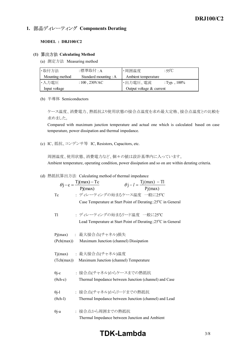# 1. 部品ディレーティング Components Derating

#### **MODEL : DRJ100/C2**

#### **(1) Calculating Method**

(a) 測定方法 Measuring method

| ・取付方法                                    | :標準取付 : A       | ・周囲温度                      | :55°C           |  |
|------------------------------------------|-----------------|----------------------------|-----------------|--|
| Standard mounting : A<br>Mounting method |                 | Ambient temperature        |                 |  |
| ・入力電圧                                    | $:100$ , 230VAC | ・出力電圧、電流                   | : Typ., $100\%$ |  |
| Input voltage                            |                 | Output voltage $&$ current |                 |  |

(b) 半導体 Semiconductors

ケース温度、消費電力、熱抵抗より使用状態の接合点温度を求め最大定格、接合点温度との比較を 求めました。

Compared with maximum junction temperature and actual one which is calculated based on case temperature, power dissipation and thermal impedance.

(c) IC、抵抗、コンデンサ等 IC, Resistors, Capacitors, etc.

周囲温度、使用状態、消費電力など、個々の値は設計基準内に入っています。 Ambient temperature, operating condition, power dissipation and so on are within derating criteria.

#### (d) 熱抵抗算出方法 Calculating method of thermal impedance

|                 | $\theta$ j – c = $\frac{Tj(max) - Tc}{Pj(max)}$<br>$\theta j - l = \frac{Tj(max) - Tl}{Pj(max)}$ |
|-----------------|--------------------------------------------------------------------------------------------------|
|                 |                                                                                                  |
| Tc              | : ディレーティングの始まるケース温度 一般に25°C                                                                      |
|                 | Case Temperature at Start Point of Derating; 25 <sup>°</sup> C in General                        |
| T1              | : ディレーティングの始まるリード温度 一般に25℃                                                                       |
|                 | Lead Temperature at Start Point of Derating; 25°C in General                                     |
| Pj(max)         | - : 最大接合点(チャネル)損失                                                                                |
| (Pch(max))      | Maximum Junction (channel) Dissipation                                                           |
|                 |                                                                                                  |
| Tj(max)         | : 最大接合点(チャネル)温度                                                                                  |
| (Tch(max))      | Maximum Junction (channel) Temperature                                                           |
| $\theta$ j-c    | : 接合点(チャネル)からケースまでの熱抵抗                                                                           |
| $(\theta$ ch-c) | Thermal Impedance between Junction (channel) and Case                                            |
|                 |                                                                                                  |
| $\theta$ j-l    | : 接合点(チャネル)からリードまでの熱抵抗                                                                           |
| $(\theta$ ch-l) | Thermal Impedance between Junction (channel) and Lead                                            |
|                 |                                                                                                  |
| $\theta$ j-a    | : 接合点から周囲までの熱抵抗                                                                                  |
|                 | Thermal Impedance between Junction and Ambient                                                   |

# **TDK-Lambda** 3/8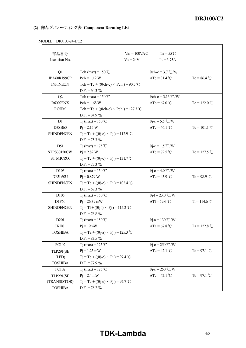## *RWS 50B600B Series* **DRJ100/C2**

## **(2) 部品ディレーティング表 Component Derating List**

| $100LL$ , $100LT$ -1/04 |                                                   |                                             |                 |
|-------------------------|---------------------------------------------------|---------------------------------------------|-----------------|
|                         |                                                   |                                             |                 |
| 部品番号                    | $V_{\text{in}} = 100 \text{VAC}$                  | $Ta = 55^{\circ}C$                          |                 |
| Location No.            | $\mathrm{Vo} = 24\mathrm{V}$                      | $I_0 = 3.75A$                               |                 |
| Q1                      | Tch (max) = $150^{\circ}$ C                       | $\theta$ ch-c = 3.7 °C/W                    |                 |
| IPA60R199CP             | $Pch = 1.12 W$                                    | $\Delta Tc = 31.4$ °C                       | $Tc = 86.4 °C$  |
| <b>INFINEON</b>         | Tch = Tc + (( $\theta$ ch-c) × Pch) = 90.5 °C     |                                             |                 |
|                         | D.F. = $60.3\%$                                   |                                             |                 |
| Q2                      | Tch (max) = $150^{\circ}$ C                       | $\theta$ ch-c = 3.13 °C/W                   |                 |
| R6009ENX                | $Pch = 1.68 W$                                    | $\Delta Tc = 67.0$ °C                       | $Tc = 122.0 °C$ |
| <b>ROHM</b>             | Tch = Tc + (( $\theta$ ch-c) × Pch) = 127.3 °C    |                                             |                 |
|                         | D.F. = $84.9\%$                                   |                                             |                 |
| D1                      | Tj (max) = $150^{\circ}$ C                        | $\theta$ j-c = 5.5 °C/W                     |                 |
| D3SB60                  | $P_1 = 2.15 W$                                    | $\Delta Tc = 46.1$ °C                       | $Tc = 101.1$ °C |
| <b>SHINDENGEN</b>       | $Tj = Tc + ((\theta j - c) \times Pj) = 112.9$ °C |                                             |                 |
|                         | D.F. = 75.3 $\%$                                  |                                             |                 |
| D51                     | Tj (max) = 175 °C                                 | $\theta$ j-c = 1.5 °C/W                     |                 |
| STPS30150CW             | $P_1 = 2.82 W$                                    | $\Delta Tc = 72.5$ °C                       | $Tc = 127.5 °C$ |
| ST MICRO.               | $Tj = Tc + ((\theta j - c) \times Pj) = 131.7$ °C |                                             |                 |
|                         | $D.F. = 75.3 \%$                                  |                                             |                 |
| D103                    | T <sub>j</sub> (max) = 150 °C                     | $\theta$ j-c = 4.0 °C/W                     |                 |
| DE5L60U                 | $Pi = 0.879 W$                                    | $\Delta Tc = 43.9$ °C                       | $Tc = 98.9$ °C  |
| <b>SHINDENGEN</b>       | $Tj = Tc + ((\theta j - c) \times Pj) = 102.4$ °C |                                             |                 |
|                         | D.F. = $68.3\%$                                   |                                             |                 |
| D105                    | Tj (max) = $150 °C$                               | $\theta$ j-l = 23.0 °C/W                    |                 |
| D1F60                   | $Pj = 26.39$ mW                                   | $\Delta T l$ = 59.6 °C                      | $TI = 114.6 °C$ |
| <b>SHINDENGEN</b>       | $Tj = T1 + ((\theta j - 1) \times Pj) = 115.2$ °C |                                             |                 |
|                         | D.F. = 76.8 $\%$                                  |                                             |                 |
| D <sub>201</sub>        | Tj (max) = $150^{\circ}$ C                        | $\theta$ j-a = 130 °C/W                     |                 |
| CRH01                   | $Pi = 19mW$                                       | $\Delta$ Ta = 67.8 °C                       | $Ta = 122.8 °C$ |
| <b>TOSHIBA</b>          | $Tj = Ta + ((\theta j-a) \times Pj) = 125.3$ °C   |                                             |                 |
|                         | D.F. = $83.5\%$                                   |                                             |                 |
| PC102                   | Tj (max) = 125 °C                                 | $\theta$ j-c = 250 °C/W                     |                 |
| <b>TLP291(SE</b>        | $Pi = 1.25$ mW                                    | $\Delta Tc = 42.1 \text{ }^{\circ}\text{C}$ | $Tc = 97.1 °C$  |
| (LED)                   | $Tj = Tc + ((\theta j - c) \times Pj) = 97.4$ °C  |                                             |                 |
| <b>TOSHIBA</b>          | D.F. = 77.9 $\%$                                  |                                             |                 |
| PC102                   | Tj (max) = 125 °C                                 | $\theta$ j-c = 250 °C/W                     |                 |
| <b>TLP291(SE</b>        | $Pj = 2.4$ mW                                     | $\Delta Tc = 42.1 \text{ }^{\circ}\text{C}$ | $Tc = 97.1$ °C  |
| (TRANSISTOR)            | $Tj = Tc + ((\theta j - c) \times Pj) = 97.7$ °C  |                                             |                 |
| <b>TOSHIBA</b>          | D.F. = $78.2\%$                                   |                                             |                 |

### MODEL : DRJ100-24-1/C2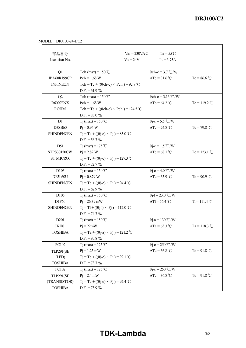MODEL : DRJ100-24-1/C2

| 部品番号              | $V_{in} = 230$ VAC                                | $Ta = 55^{\circ}C$            |                 |
|-------------------|---------------------------------------------------|-------------------------------|-----------------|
| Location No.      | $\mathrm{Vo} = 24\mathrm{V}$                      | $I_0 = 3.75A$                 |                 |
| Q1                | Tch (max) = $150^{\circ}$ C                       | $\theta$ ch-c = 3.7 °C/W      |                 |
| IPA60R199CP       | $Pch = 1.68 W$                                    | $\Delta Tc = 31.6^{\circ}C$   | $Tc = 86.6 °C$  |
| <b>INFINEON</b>   | Tch = Tc + (( $\theta$ ch-c) × Pch) = 92.8 °C     |                               |                 |
|                   | D.F. = $61.9\%$                                   |                               |                 |
| Q2                | Tch (max) = $150^{\circ}$ C                       | $\theta$ ch-c = 3.13 °C/W     |                 |
| R6009ENX          | $Pch = 1.68 W$                                    | $\Delta Tc = 64.2$ °C         | $Tc = 119.2 °C$ |
| <b>ROHM</b>       | Tch = Tc + (( $\theta$ ch-c) × Pch) = 124.5 °C    |                               |                 |
|                   | D.F. = $83.0\%$                                   |                               |                 |
| D1                | Tj (max) = $150^{\circ}$ C                        | $\theta$ j-c = 5.5 °C/W       |                 |
| D3SB60            | $Pi = 0.94 W$                                     | $\Delta Tc = 24.8 \text{ °C}$ | $Tc = 79.8 °C$  |
| <b>SHINDENGEN</b> | $Tj = Tc + ((\theta j - c) \times Pj) = 85.0$ °C  |                               |                 |
|                   | $D.F. = 56.7 \%$                                  |                               |                 |
| D51               | Tj (max) = 175 °C                                 | $\theta$ j-c = 1.5 °C/W       |                 |
| STPS30150CW       | $Pj = 2.82 W$                                     | $\Delta Tc = 68.1$ °C         | $Tc = 123.1 °C$ |
| ST MICRO.         | $Tj = Tc + ((\theta j - c) \times Pj) = 127.3$ °C |                               |                 |
|                   | $D.F. = 72.7 \%$                                  |                               |                 |
| D103              | Tj (max) = $150^{\circ}$ C                        | $\theta$ j-c = 4.0 °C/W       |                 |
| DE5L60U           | $Pj = 0.879 W$                                    | $\Delta Tc = 35.9 \degree C$  | $Tc = 90.9$ °C  |
| <b>SHINDENGEN</b> | $Tj = Tc + ((\theta j - c) \times Pj) = 94.4$ °C  |                               |                 |
|                   | D.F. = $62.9\%$                                   |                               |                 |
| D105              | Tj (max) = $150^{\circ}$ C                        | $\theta$ j-l = 23.0 °C/W      |                 |
| D1F60             | $Pj = 26.39$ mW                                   | $\Delta T l = 56.4$ °C        | $TI = 111.4 °C$ |
| <b>SHINDENGEN</b> | $Tj = T1 + ((\theta j - 1) \times Pj) = 112.0$ °C |                               |                 |
|                   | $D.F. = 74.7 \%$                                  |                               |                 |
| D <sub>201</sub>  | Tj (max) = $150^{\circ}$ C                        | $\theta$ j-a = 130 °C/W       |                 |
| CRH01             | $Pj = 22mW$                                       | $\Delta$ Ta = 63.3 °C         | Ta = 118.3 °C   |
| <b>TOSHIBA</b>    | $Tj = Ta + ((\theta j-a) \times Pj) = 121.2 °C$   |                               |                 |
|                   | $D.F. = 80.8 \%$                                  |                               |                 |
| PC102             | T <sub>j</sub> (max) = 125 °C                     | $\theta$ j-c = 250 °C/W       |                 |
| <b>TLP291(SE</b>  | $Pi = 1.25$ mW                                    | $\Delta Tc = 36.8 °C$         | $Tc = 91.8 °C$  |
| (LED)             | $Tj = Tc + ((\theta j - c) \times Pj) = 92.1$ °C  |                               |                 |
| <b>TOSHIBA</b>    | $D.F. = 73.7 \%$                                  |                               |                 |
| PC102             | T <sub>j</sub> (max) = 125 °C                     | $\theta$ j-c = 250 °C/W       |                 |
| <b>TLP291(SE</b>  | $Pj = 2.4$ mW                                     | $\Delta Tc = 36.8 °C$         | $Tc = 91.8 °C$  |
| (TRANSISTOR)      | $Tj = Tc + ((\theta j - c) \times Pj) = 92.4$ °C  |                               |                 |
| <b>TOSHIBA</b>    | D.F. = $73.9\%$                                   |                               |                 |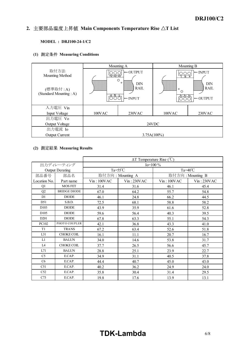#### *INSTRUCTION MANUAL* 2. 主要部品温度上昇值 Main Components Temperature Rise  $\Delta T$  List

#### **MODEL : DRJ100-24-1/C2**

## **(1) Measuring Conditions**

|                                    | Mounting A                                                        |                                | Mounting B                                                                                           |                         |
|------------------------------------|-------------------------------------------------------------------|--------------------------------|------------------------------------------------------------------------------------------------------|-------------------------|
| 取付方法<br>Mounting Method            | $+V - V - V$                                                      | $\leftarrow$ OUTPUT<br>$\circ$ | N                                                                                                    | $\leftarrow$ INPUT<br>O |
| (標準取付:A)<br>(Standard Mounting: A) | $\circ$<br>DIN<br><b>RAIL</b><br>,,,,,,,,,,<br>$\leftarrow$ INPUT |                                | DIN<br><b>RAIL</b><br>$\circ$<br>O<br>$\wedge$ $\wedge$ $\wedge$ $\wedge$<br>$\longleftarrow$ OUTPUT |                         |
| 入力電圧 Vin                           |                                                                   |                                |                                                                                                      |                         |
| Input Voltage                      | 100VAC                                                            | 230VAC                         | 100VAC                                                                                               | 230VAC                  |
| 出力電圧 Vo                            |                                                                   |                                |                                                                                                      |                         |
| Output Voltage                     | 24VDC                                                             |                                |                                                                                                      |                         |
| 出力電流 Io                            |                                                                   |                                |                                                                                                      |                         |
| <b>Output Current</b>              | $3.75A(100\%)$                                                    |                                |                                                                                                      |                         |

### **(2) Measuring Results**

|                  |                        | $\Delta T$ Temperature Rise (°C) |             |                    |            |  |
|------------------|------------------------|----------------------------------|-------------|--------------------|------------|--|
|                  | 出力ディレーティング             | Io= $100\%$                      |             |                    |            |  |
|                  | <b>Output Derating</b> | $Ta = 55^{\circ}C$               |             | Ta= $40^{\circ}$ C |            |  |
| 部品番号             | 部品名                    | 取付方向: Mounting A                 |             | 取付方向: Mounting B   |            |  |
| Location No.     | Part name              | Vin:100VAC                       | Vin: 230VAC | Vin:100VAC         | Vin:230VAC |  |
| Q1               | <b>MOS FET</b>         | 31.4                             | 31.6        | 46.1               | 45.4       |  |
| Q2               | <b>BRIDGE DIODE</b>    | 67.0                             | 64.2        | 55.7               | 54.8       |  |
| D1               | <b>DIODE</b>           | 46.1                             | 24.8        | 66.2               | 44.5       |  |
| D51              | S.B.D.                 | 72.5                             | 68.1        | 58.8               | 58.2       |  |
| D <sub>103</sub> | <b>DIODE</b>           | 43.9                             | 35.9        | 61.6               | 52.8       |  |
| D <sub>105</sub> | <b>DIODE</b>           | 59.6                             | 56.4        | 40.3               | 39.5       |  |
| D <sub>201</sub> | <b>DIODE</b>           | 67.8                             | 63.3        | 55.1               | 54.3       |  |
| PC102            | PHOTO COUPLER          | 42.1                             | 36.8        | 43.3               | 41.0       |  |
| T1               | <b>TRANS</b>           | 67.2                             | 63.4        | 52.6               | 51.8       |  |
| L31              | <b>CHOKE COIL</b>      | 16.1                             | 11.1        | 20.7               | 16.7       |  |
| L1               | <b>BALUN</b>           | 34.0                             | 14.6        | 53.8               | 31.7       |  |
| L <sub>4</sub>   | <b>CHOKE COIL</b>      | 37.7                             | 26.5        | 56.6               | 45.7       |  |
| L71              | <b>BALUN</b>           | 28.8                             | 25.1        | 23.9               | 22.7       |  |
| C <sub>5</sub>   | E.CAP.                 | 34.9                             | 31.1        | 40.5               | 37.8       |  |
| C6               | E.CAP.                 | 44.4                             | 40.7        | 45.0               | 43.0       |  |
| C51              | E.CAP.                 | 40.2                             | 36.2        | 24.9               | 24.0       |  |
| C52              | E.CAP.                 | 35.8                             | 30.4        | 31.4               | 29.5       |  |
| C73              | E.CAP.                 | 19.8                             | 17.6        | 13.9               | 13.1       |  |

# **TDK-Lambda** 6/8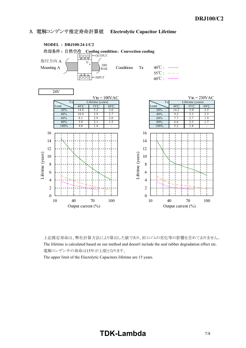## **3. 電解コンデンサ推定寿命計算値 Electrolytic Capacitor Lifetime**



上記推定寿命は、弊社計算方法により算出した値であり、封口ゴムの劣化等の影響を含めておりません。 The lifetime is calculated based on our method and doesn't include the seal rubber degradation effect etc. 電解コンデンサの寿命は15年が上限となります。

The upper limit of the Electolytic Capacitors lifetime are 15 years.

# **TDK-Lambda** 7/8